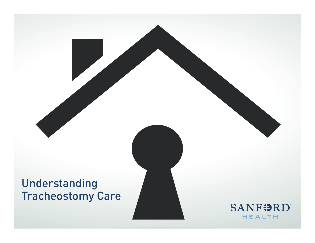# Understanding Tracheostomy Care**SANFORD HEALTH**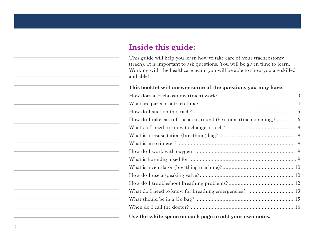## **Inside this guide:**

This guide will help you learn how to take care of your tracheostomy (trach). It is important to ask questions. You will be given time to learn. Working with the healthcare team, you will be able to show you are skilled and able!

#### **This booklet will answer some of the questions you may have:**

| Use the white space on each page to add your own notes. |
|---------------------------------------------------------|

\_\_\_\_\_\_\_\_\_\_\_\_\_\_\_\_\_\_\_\_\_\_\_\_\_\_\_\_\_\_\_\_\_\_\_

\_\_\_\_\_\_\_\_\_\_\_\_\_\_\_\_\_\_\_\_\_\_\_\_\_\_\_\_\_\_\_\_\_\_\_

\_\_\_\_\_\_\_\_\_\_\_\_\_\_\_\_\_\_\_\_\_\_\_\_\_\_\_\_\_\_\_\_\_\_\_

\_\_\_\_\_\_\_\_\_\_\_\_\_\_\_\_\_\_\_\_\_\_\_\_\_\_\_\_\_\_\_\_\_\_\_

\_\_\_\_\_\_\_\_\_\_\_\_\_\_\_\_\_\_\_\_\_\_\_\_\_\_\_\_\_\_\_\_\_\_\_

\_\_\_\_\_\_\_\_\_\_\_\_\_\_\_\_\_\_\_\_\_\_\_\_\_\_\_\_\_\_\_\_\_\_\_

\_\_\_\_\_\_\_\_\_\_\_\_\_\_\_\_\_\_\_\_\_\_\_\_\_\_\_\_\_\_\_\_\_\_\_

\_\_\_\_\_\_\_\_\_\_\_\_\_\_\_\_\_\_\_\_\_\_\_\_\_\_\_\_\_\_\_\_\_\_\_

\_\_\_\_\_\_\_\_\_\_\_\_\_\_\_\_\_\_\_\_\_\_\_\_\_\_\_\_\_\_\_\_\_\_\_

\_\_\_\_\_\_\_\_\_\_\_\_\_\_\_\_\_\_\_\_\_\_\_\_\_\_\_\_\_\_\_\_\_\_\_

\_\_\_\_\_\_\_\_\_\_\_\_\_\_\_\_\_\_\_\_\_\_\_\_\_\_\_\_\_\_\_\_\_\_\_

\_\_\_\_\_\_\_\_\_\_\_\_\_\_\_\_\_\_\_\_\_\_\_\_\_\_\_\_\_\_\_\_\_\_\_

\_\_\_\_\_\_\_\_\_\_\_\_\_\_\_\_\_\_\_\_\_\_\_\_\_\_\_\_\_\_\_\_\_\_\_

\_\_\_\_\_\_\_\_\_\_\_\_\_\_\_\_\_\_\_\_\_\_\_\_\_\_\_\_\_\_\_\_\_\_\_

\_\_\_\_\_\_\_\_\_\_\_\_\_\_\_\_\_\_\_\_\_\_\_\_\_\_\_\_\_\_\_\_\_\_\_

\_\_\_\_\_\_\_\_\_\_\_\_\_\_\_\_\_\_\_\_\_\_\_\_\_\_\_\_\_\_\_\_\_\_\_

\_\_\_\_\_\_\_\_\_\_\_\_\_\_\_\_\_\_\_\_\_\_\_\_\_\_\_\_\_\_\_\_\_\_\_

\_\_\_\_\_\_\_\_\_\_\_\_\_\_\_\_\_\_\_\_\_\_\_\_\_\_\_\_\_\_\_\_\_\_\_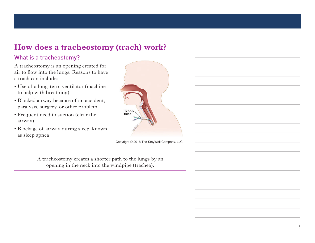## **How does a tracheostomy (trach) work?**

#### What is a tracheostomy?

A tracheostomy is an opening created for air to flow into the lungs. Reasons to have a trach can include:

- Use of a long-term ventilator (machine to help with breathing)
	- Blocked airway because of an accident, paralysis, surgery, or other problem
	- $\bullet$  Frequent need to suction (clear the airway)  $\frac{1}{2}$  because  $\frac{1}{2}$  because  $\frac{1}{2}$  because  $\frac{1}{2}$
	- Blockage of airway during sleep, known executive of an may daring sleep, mis w<br>as sleep apnea paralysis, surface  $p$  or other problems  $p$  or  $p$  $\mathbf{B}$



Copyright © 2018 The StayWell Company, LLC

A tracheostomy creates a shorter path to the lungs by an opening in the neck into the windpipe (trachea).

\_\_\_\_\_\_\_\_\_\_\_\_\_\_\_\_\_\_\_\_\_\_\_\_\_\_\_\_\_\_\_\_\_\_\_

\_\_\_\_\_\_\_\_\_\_\_\_\_\_\_\_\_\_\_\_\_\_\_\_\_\_\_\_\_\_\_\_\_\_\_

\_\_\_\_\_\_\_\_\_\_\_\_\_\_\_\_\_\_\_\_\_\_\_\_\_\_\_\_\_\_\_\_\_\_\_

\_\_\_\_\_\_\_\_\_\_\_\_\_\_\_\_\_\_\_\_\_\_\_\_\_\_\_\_\_\_\_\_\_\_\_

\_\_\_\_\_\_\_\_\_\_\_\_\_\_\_\_\_\_\_\_\_\_\_\_\_\_\_\_\_\_\_\_\_\_\_

\_\_\_\_\_\_\_\_\_\_\_\_\_\_\_\_\_\_\_\_\_\_\_\_\_\_\_\_\_\_\_\_\_\_\_

\_\_\_\_\_\_\_\_\_\_\_\_\_\_\_\_\_\_\_\_\_\_\_\_\_\_\_\_\_\_\_\_\_\_\_

\_\_\_\_\_\_\_\_\_\_\_\_\_\_\_\_\_\_\_\_\_\_\_\_\_\_\_\_\_\_\_\_\_\_\_

\_\_\_\_\_\_\_\_\_\_\_\_\_\_\_\_\_\_\_\_\_\_\_\_\_\_\_\_\_\_\_\_\_\_\_

\_\_\_\_\_\_\_\_\_\_\_\_\_\_\_\_\_\_\_\_\_\_\_\_\_\_\_\_\_\_\_\_\_\_\_

\_\_\_\_\_\_\_\_\_\_\_\_\_\_\_\_\_\_\_\_\_\_\_\_\_\_\_\_\_\_\_\_\_\_\_

\_\_\_\_\_\_\_\_\_\_\_\_\_\_\_\_\_\_\_\_\_\_\_\_\_\_\_\_\_\_\_\_\_\_\_

\_\_\_\_\_\_\_\_\_\_\_\_\_\_\_\_\_\_\_\_\_\_\_\_\_\_\_\_\_\_\_\_\_\_\_

\_\_\_\_\_\_\_\_\_\_\_\_\_\_\_\_\_\_\_\_\_\_\_\_\_\_\_\_\_\_\_\_\_\_\_

\_\_\_\_\_\_\_\_\_\_\_\_\_\_\_\_\_\_\_\_\_\_\_\_\_\_\_\_\_\_\_\_\_\_\_

\_\_\_\_\_\_\_\_\_\_\_\_\_\_\_\_\_\_\_\_\_\_\_\_\_\_\_\_\_\_\_\_\_\_\_

\_\_\_\_\_\_\_\_\_\_\_\_\_\_\_\_\_\_\_\_\_\_\_\_\_\_\_\_\_\_\_\_\_\_\_

\_\_\_\_\_\_\_\_\_\_\_\_\_\_\_\_\_\_\_\_\_\_\_\_\_\_\_\_\_\_\_\_\_\_\_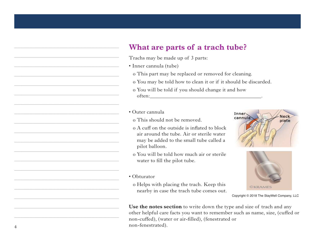#### **What are parts of a trach tube?** What are parts of a

- Trachs may be made up of 3 parts:
- Inner cannula (tube)  $\Gamma$  and  $\Gamma$  are made up of  $\Gamma$ 
	- o This part may be replaced or removed for cleaning.
		- o You may be told how to clean it or if it should be discarded.
		- o You will be told if you should change it and how often:\_\_\_\_\_\_\_\_\_\_\_\_\_\_\_\_\_\_\_\_\_\_\_\_\_\_\_\_\_\_\_\_\_\_\_\_\_\_\_\_\_\_\_. o You will be told if you should change it and how

\_\_\_\_\_\_\_\_\_\_\_\_\_\_\_\_\_\_\_\_\_\_\_\_\_\_\_\_\_\_\_\_\_\_\_

\_\_\_\_\_\_\_\_\_\_\_\_\_\_\_\_\_\_\_\_\_\_\_\_\_\_\_\_\_\_\_\_\_\_\_

\_\_\_\_\_\_\_\_\_\_\_\_\_\_\_\_\_\_\_\_\_\_\_\_\_\_\_\_\_\_\_\_\_\_\_

\_\_\_\_\_\_\_\_\_\_\_\_\_\_\_\_\_\_\_\_\_\_\_\_\_\_\_\_\_\_\_\_\_\_\_

\_\_\_\_\_\_\_\_\_\_\_\_\_\_\_\_\_\_\_\_\_\_\_\_\_\_\_\_\_\_\_\_\_\_\_

\_\_\_\_\_\_\_\_\_\_\_\_\_\_\_\_\_\_\_\_\_\_\_\_\_\_\_\_\_\_\_\_\_\_\_

\_\_\_\_\_\_\_\_\_\_\_\_\_\_\_\_\_\_\_\_\_\_\_\_\_\_\_\_\_\_\_\_\_\_\_

\_\_\_\_\_\_\_\_\_\_\_\_\_\_\_\_\_\_\_\_\_\_\_\_\_\_\_\_\_\_\_\_\_\_\_

\_\_\_\_\_\_\_\_\_\_\_\_\_\_\_\_\_\_\_\_\_\_\_\_\_\_\_\_\_\_\_\_\_\_\_

\_\_\_\_\_\_\_\_\_\_\_\_\_\_\_\_\_\_\_\_\_\_\_\_\_\_\_\_\_\_\_\_\_\_\_

\_\_\_\_\_\_\_\_\_\_\_\_\_\_\_\_\_\_\_\_\_\_\_\_\_\_\_\_\_\_\_\_\_\_\_

\_\_\_\_\_\_\_\_\_\_\_\_\_\_\_\_\_\_\_\_\_\_\_\_\_\_\_\_\_\_\_\_\_\_\_

\_\_\_\_\_\_\_\_\_\_\_\_\_\_\_\_\_\_\_\_\_\_\_\_\_\_\_\_\_\_\_\_\_\_\_

\_\_\_\_\_\_\_\_\_\_\_\_\_\_\_\_\_\_\_\_\_\_\_\_\_\_\_\_\_\_\_\_\_\_\_

\_\_\_\_\_\_\_\_\_\_\_\_\_\_\_\_\_\_\_\_\_\_\_\_\_\_\_\_\_\_\_\_\_\_\_

\_\_\_\_\_\_\_\_\_\_\_\_\_\_\_\_\_\_\_\_\_\_\_\_\_\_\_\_\_\_\_\_\_\_\_

\_\_\_\_\_\_\_\_\_\_\_\_\_\_\_\_\_\_\_\_\_\_\_\_\_\_\_\_\_\_\_\_\_\_\_

\_\_\_\_\_\_\_\_\_\_\_\_\_\_\_\_\_\_\_\_\_\_\_\_\_\_\_\_\_\_\_\_\_\_\_

\_\_\_\_\_\_\_\_\_\_\_\_\_\_\_\_\_\_\_\_\_\_\_\_\_\_\_\_\_\_\_\_\_\_\_

#### • Outer cannula

- o This should not be removed.  $\sigma$  1 ms should
	- o A cuff on the outside is inflated to block air around the tube. Air or sterile water an around the tube. An or sterne water<br>may be added to the small tube called a pilot balloon. cuit on the outside is inflated !<br>. be added to the sinan thoe can  $\frac{1}{2}$  is a dedicated to the added to the added to the added to the added to the added to the added to the added to the added to the added to the added to the added to the added to the added to the added to the added t
	- o You will be told how much air or sterile water to fill the pilot tube. will be told flow find a pilot steep. ater to the the procedure.

• Obturator

o Helps with placing the trach. Keep this nearby in case the trach tube comes out.





Copyright © 2018 The StayWell Company, LLC. Copyright © 2018 The StayWell Company, LLC

Use the notes section to write down the type and size of trach and any other helpful care facts you want to remember such as name, size, (cuffed or non-cuffed), (water or air-filled), (fenestrated or non-fenestrated).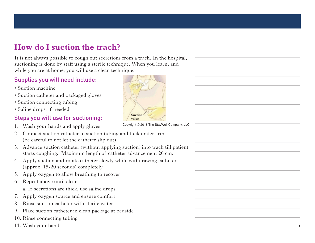## **How do I suction the trach?**

It is not always possible to cough out secretions from a trach. In the hospital, suctioning is done by staff using a sterile technique. When you learn, and suctioning is done by staff using a sterile technique. When you let How do I suestity and the set of the set of the set of the set of the set of the set of the Suction machine Suction catheter an Suction catheter an Suction connecting Saline drops, if nee Steps you will use 1. Wash your ha where you are at home, you will use a clean

## Supplies you will need include: **Supplies you will need include:**

- Suction machine
- Suction catheter and packaged gloves • Suction catheter and packaged gloves
- Suction connecting tubing • Suction connecting tubing
- Saline drops, if needed Saline drops, if needed

#### Steps you will use for suctioning: **Steps you will use for suctioning:**

- 1. Wash your hands and apply gloves 1. Wash your hands and apply gloves
- 2. Connect suction catheter to suction tubing and tuck under arm 2. Connect suction catheter to suction (be careful to not let the catheter slip out)
- 3. Advance suction catheter (without applying suction) into trach till patient 3. Advance suction catheter (without applying suction) into trach till patient starts coughing. Maximum length of catheter advancement 20 cm. starts coughing. Maximum length of catheter advancement 20 cm .
- 4. Apply suction and rotate catheter slowly while withdrawing catheter 4. Apply suction and rotate catheter slowly while withdrawing catheter (approx. 15-20 seconds) completely (approx. 15 -20 seconds) completely  $_{\rm approx.}$  is 20 second, completely
- 5. Apply oxygen to allow breathing to recover
- 6. Repeat above until clear
	- a. If secretions are thick, use saline drops
- 7. Apply oxygen source and ensure comfort pply oxygen source and ensure connoit
- 8. Rinse suction catheter with sterile water
- 9. Place suction catheter in clean package at bedside
- 10. Rinse connecting tubing
- 



Copyright © 2018 The StayWell Company, LLC Copyright © 2018 The StayWell Company, LLC \_\_\_\_\_\_\_\_\_\_\_\_\_\_\_\_\_\_\_\_\_\_\_\_\_\_\_\_\_\_\_\_\_\_\_

\_\_\_\_\_\_\_\_\_\_\_\_\_\_\_\_\_\_\_\_\_\_\_\_\_\_\_\_\_\_\_\_\_\_\_

\_\_\_\_\_\_\_\_\_\_\_\_\_\_\_\_\_\_\_\_\_\_\_\_\_\_\_\_\_\_\_\_\_\_\_

\_\_\_\_\_\_\_\_\_\_\_\_\_\_\_\_\_\_\_\_\_\_\_\_\_\_\_\_\_\_\_\_\_\_\_

\_\_\_\_\_\_\_\_\_\_\_\_\_\_\_\_\_\_\_\_\_\_\_\_\_\_\_\_\_\_\_\_\_\_\_

\_\_\_\_\_\_\_\_\_\_\_\_\_\_\_\_\_\_\_\_\_\_\_\_\_\_\_\_\_\_\_\_\_\_\_

\_\_\_\_\_\_\_\_\_\_\_\_\_\_\_\_\_\_\_\_\_\_\_\_\_\_\_\_\_\_\_\_\_\_\_

\_\_\_\_\_\_\_\_\_\_\_\_\_\_\_\_\_\_\_\_\_\_\_\_\_\_\_\_\_\_\_\_\_\_\_

\_\_\_\_\_\_\_\_\_\_\_\_\_\_\_\_\_\_\_\_\_\_\_\_\_\_\_\_\_\_\_\_\_\_\_

\_\_\_\_\_\_\_\_\_\_\_\_\_\_\_\_\_\_\_\_\_\_\_\_\_\_\_\_\_\_\_\_\_\_\_

\_\_\_\_\_\_\_\_\_\_\_\_\_\_\_\_\_\_\_\_\_\_\_\_\_\_\_\_\_\_\_\_\_\_\_

\_\_\_\_\_\_\_\_\_\_\_\_\_\_\_\_\_\_\_\_\_\_\_\_\_\_\_\_\_\_\_\_\_\_\_

\_\_\_\_\_\_\_\_\_\_\_\_\_\_\_\_\_\_\_\_\_\_\_\_\_\_\_\_\_\_\_\_\_\_\_

\_\_\_\_\_\_\_\_\_\_\_\_\_\_\_\_\_\_\_\_\_\_\_\_\_\_\_\_\_\_\_\_\_\_\_

\_\_\_\_\_\_\_\_\_\_\_\_\_\_\_\_\_\_\_\_\_\_\_\_\_\_\_\_\_\_\_\_\_\_\_

\_\_\_\_\_\_\_\_\_\_\_\_\_\_\_\_\_\_\_\_\_\_\_\_\_\_\_\_\_\_\_\_\_\_\_

\_\_\_\_\_\_\_\_\_\_\_\_\_\_\_\_\_\_\_\_\_\_\_\_\_\_\_\_\_\_\_\_\_\_\_

\_\_\_\_\_\_\_\_\_\_\_\_\_\_\_\_\_\_\_\_\_\_\_\_\_\_\_\_\_\_\_\_\_\_\_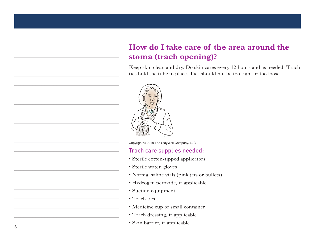# How do I take care of the area around the **stoma (trach opening)? opening)?**

Keep skin clean and dry. Do skin cares every 12 hours and as needed. Trach Keep skin clean and dry. Do skin cares every 12 hours and as needed. Trach ties hold the tube in place. Ties should not be too tight or too loose. ties hold the tube in place. Ties should not be too tight or too loose.



Copyright © 2018 The StayWell Company, LLC

#### Trach care supplies needed:

- $\bullet$  Sterile cotton-tipped applicators
- Sterile water, gloves
- Normal saline vials (pink jets or bullets) • Sterile cotton-tipped applicators
- Hydrogen peroxide, if applicable  $\frac{1}{2}$ vurogen peroxiue, ir applicable
- Suction equipment
- Trach ties
- Medicine cup or small container
- Trach dressing, if applicable
- Skin barrier, if applicable

\_\_\_\_\_\_\_\_\_\_\_\_\_\_\_\_\_\_\_\_\_\_\_\_\_\_\_\_\_\_\_\_\_\_\_

\_\_\_\_\_\_\_\_\_\_\_\_\_\_\_\_\_\_\_\_\_\_\_\_\_\_\_\_\_\_\_\_\_\_\_

\_\_\_\_\_\_\_\_\_\_\_\_\_\_\_\_\_\_\_\_\_\_\_\_\_\_\_\_\_\_\_\_\_\_\_

\_\_\_\_\_\_\_\_\_\_\_\_\_\_\_\_\_\_\_\_\_\_\_\_\_\_\_\_\_\_\_\_\_\_\_

\_\_\_\_\_\_\_\_\_\_\_\_\_\_\_\_\_\_\_\_\_\_\_\_\_\_\_\_\_\_\_\_\_\_\_

\_\_\_\_\_\_\_\_\_\_\_\_\_\_\_\_\_\_\_\_\_\_\_\_\_\_\_\_\_\_\_\_\_\_\_

\_\_\_\_\_\_\_\_\_\_\_\_\_\_\_\_\_\_\_\_\_\_\_\_\_\_\_\_\_\_\_\_\_\_\_

\_\_\_\_\_\_\_\_\_\_\_\_\_\_\_\_\_\_\_\_\_\_\_\_\_\_\_\_\_\_\_\_\_\_\_

\_\_\_\_\_\_\_\_\_\_\_\_\_\_\_\_\_\_\_\_\_\_\_\_\_\_\_\_\_\_\_\_\_\_\_

\_\_\_\_\_\_\_\_\_\_\_\_\_\_\_\_\_\_\_\_\_\_\_\_\_\_\_\_\_\_\_\_\_\_\_

\_\_\_\_\_\_\_\_\_\_\_\_\_\_\_\_\_\_\_\_\_\_\_\_\_\_\_\_\_\_\_\_\_\_\_

\_\_\_\_\_\_\_\_\_\_\_\_\_\_\_\_\_\_\_\_\_\_\_\_\_\_\_\_\_\_\_\_\_\_\_

\_\_\_\_\_\_\_\_\_\_\_\_\_\_\_\_\_\_\_\_\_\_\_\_\_\_\_\_\_\_\_\_\_\_\_

\_\_\_\_\_\_\_\_\_\_\_\_\_\_\_\_\_\_\_\_\_\_\_\_\_\_\_\_\_\_\_\_\_\_\_

\_\_\_\_\_\_\_\_\_\_\_\_\_\_\_\_\_\_\_\_\_\_\_\_\_\_\_\_\_\_\_\_\_\_\_

\_\_\_\_\_\_\_\_\_\_\_\_\_\_\_\_\_\_\_\_\_\_\_\_\_\_\_\_\_\_\_\_\_\_\_

\_\_\_\_\_\_\_\_\_\_\_\_\_\_\_\_\_\_\_\_\_\_\_\_\_\_\_\_\_\_\_\_\_\_\_

\_\_\_\_\_\_\_\_\_\_\_\_\_\_\_\_\_\_\_\_\_\_\_\_\_\_\_\_\_\_\_\_\_\_\_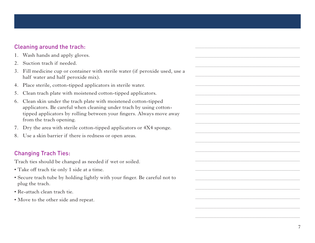#### Cleaning around the trach:

- 1. Wash hands and apply gloves.
- 2. Suction trach if needed.
- 3. Fill medicine cup or container with sterile water (if peroxide used, use a half water and half peroxide mix).
- 4. Place sterile, cotton-tipped applicators in sterile water.
- 5. Clean trach plate with moistened cotton-tipped applicators.
- 6. Clean skin under the trach plate with moistened cotton-tipped applicators. Be careful when cleaning under trach by using cottontipped applicators by rolling between your fingers. Always move away from the trach opening.
- 7. Dry the area with sterile cotton-tipped applicators or 4X4 sponge.
- 8. Use a skin barrier if there is redness or open areas.

#### Changing Trach Ties:

Trach ties should be changed as needed if wet or soiled.

- Take off trach tie only 1 side at a time.
- Secure trach tube by holding lightly with your finger. Be careful not to plug the trach.
- Re-attach clean trach tie.
- Move to the other side and repeat.

\_\_\_\_\_\_\_\_\_\_\_\_\_\_\_\_\_\_\_\_\_\_\_\_\_\_\_\_\_\_\_\_\_\_\_

\_\_\_\_\_\_\_\_\_\_\_\_\_\_\_\_\_\_\_\_\_\_\_\_\_\_\_\_\_\_\_\_\_\_\_

\_\_\_\_\_\_\_\_\_\_\_\_\_\_\_\_\_\_\_\_\_\_\_\_\_\_\_\_\_\_\_\_\_\_\_

\_\_\_\_\_\_\_\_\_\_\_\_\_\_\_\_\_\_\_\_\_\_\_\_\_\_\_\_\_\_\_\_\_\_\_

\_\_\_\_\_\_\_\_\_\_\_\_\_\_\_\_\_\_\_\_\_\_\_\_\_\_\_\_\_\_\_\_\_\_\_

\_\_\_\_\_\_\_\_\_\_\_\_\_\_\_\_\_\_\_\_\_\_\_\_\_\_\_\_\_\_\_\_\_\_\_

\_\_\_\_\_\_\_\_\_\_\_\_\_\_\_\_\_\_\_\_\_\_\_\_\_\_\_\_\_\_\_\_\_\_\_

\_\_\_\_\_\_\_\_\_\_\_\_\_\_\_\_\_\_\_\_\_\_\_\_\_\_\_\_\_\_\_\_\_\_\_

\_\_\_\_\_\_\_\_\_\_\_\_\_\_\_\_\_\_\_\_\_\_\_\_\_\_\_\_\_\_\_\_\_\_\_

\_\_\_\_\_\_\_\_\_\_\_\_\_\_\_\_\_\_\_\_\_\_\_\_\_\_\_\_\_\_\_\_\_\_\_

\_\_\_\_\_\_\_\_\_\_\_\_\_\_\_\_\_\_\_\_\_\_\_\_\_\_\_\_\_\_\_\_\_\_\_

\_\_\_\_\_\_\_\_\_\_\_\_\_\_\_\_\_\_\_\_\_\_\_\_\_\_\_\_\_\_\_\_\_\_\_

\_\_\_\_\_\_\_\_\_\_\_\_\_\_\_\_\_\_\_\_\_\_\_\_\_\_\_\_\_\_\_\_\_\_\_

\_\_\_\_\_\_\_\_\_\_\_\_\_\_\_\_\_\_\_\_\_\_\_\_\_\_\_\_\_\_\_\_\_\_\_

\_\_\_\_\_\_\_\_\_\_\_\_\_\_\_\_\_\_\_\_\_\_\_\_\_\_\_\_\_\_\_\_\_\_\_

\_\_\_\_\_\_\_\_\_\_\_\_\_\_\_\_\_\_\_\_\_\_\_\_\_\_\_\_\_\_\_\_\_\_\_

\_\_\_\_\_\_\_\_\_\_\_\_\_\_\_\_\_\_\_\_\_\_\_\_\_\_\_\_\_\_\_\_\_\_\_

\_\_\_\_\_\_\_\_\_\_\_\_\_\_\_\_\_\_\_\_\_\_\_\_\_\_\_\_\_\_\_\_\_\_\_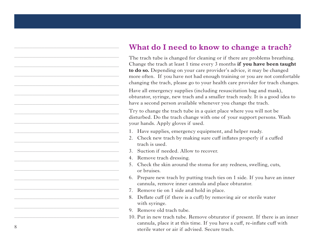## **What do I need to know to change a trach?**

The trach tube is changed for cleaning or if there are problems breathing. Change the trach at least 1 time every 3 months **if you have been taught to do so.** Depending on your care provider's advice, it may be changed more often. If you have not had enough training or you are not comfortable changing the trach, please go to your health care provider for trach changes.

Have all emergency supplies (including resuscitation bag and mask), obturator, syringe, new trach and a smaller trach ready. It is a good idea to have a second person available whenever you change the trach.

Try to change the trach tube in a quiet place where you will not be disturbed. Do the trach change with one of your support persons. Wash your hands. Apply gloves if used.

- 1. Have supplies, emergency equipment, and helper ready.
- 2. Check new trach by making sure cuff inflates properly if a cuffed trach is used.
- 3. Suction if needed. Allow to recover.
- 4. Remove trach dressing.
- 5. Check the skin around the stoma for any redness, swelling, cuts, or bruises.
- 6. Prepare new trach by putting trach ties on 1 side. If you have an inner cannula, remove inner cannula and place obturator.
- 7. Remove tie on 1 side and hold in place.
- 8. Deflate cuff (if there is a cuff) by removing air or sterile water with syringe.
- 9. Remove old trach tube.
- 10. Put in new trach tube. Remove obturator if present. If there is an inner cannula, place it at this time. If you have a cuff, re-inflate cuff with sterile water or air if advised. Secure trach.

\_\_\_\_\_\_\_\_\_\_\_\_\_\_\_\_\_\_\_\_\_\_\_\_\_\_\_\_\_\_\_\_\_\_\_

\_\_\_\_\_\_\_\_\_\_\_\_\_\_\_\_\_\_\_\_\_\_\_\_\_\_\_\_\_\_\_\_\_\_\_

\_\_\_\_\_\_\_\_\_\_\_\_\_\_\_\_\_\_\_\_\_\_\_\_\_\_\_\_\_\_\_\_\_\_\_

\_\_\_\_\_\_\_\_\_\_\_\_\_\_\_\_\_\_\_\_\_\_\_\_\_\_\_\_\_\_\_\_\_\_\_

\_\_\_\_\_\_\_\_\_\_\_\_\_\_\_\_\_\_\_\_\_\_\_\_\_\_\_\_\_\_\_\_\_\_\_

\_\_\_\_\_\_\_\_\_\_\_\_\_\_\_\_\_\_\_\_\_\_\_\_\_\_\_\_\_\_\_\_\_\_\_

\_\_\_\_\_\_\_\_\_\_\_\_\_\_\_\_\_\_\_\_\_\_\_\_\_\_\_\_\_\_\_\_\_\_\_

\_\_\_\_\_\_\_\_\_\_\_\_\_\_\_\_\_\_\_\_\_\_\_\_\_\_\_\_\_\_\_\_\_\_\_

\_\_\_\_\_\_\_\_\_\_\_\_\_\_\_\_\_\_\_\_\_\_\_\_\_\_\_\_\_\_\_\_\_\_\_

\_\_\_\_\_\_\_\_\_\_\_\_\_\_\_\_\_\_\_\_\_\_\_\_\_\_\_\_\_\_\_\_\_\_\_

\_\_\_\_\_\_\_\_\_\_\_\_\_\_\_\_\_\_\_\_\_\_\_\_\_\_\_\_\_\_\_\_\_\_\_

\_\_\_\_\_\_\_\_\_\_\_\_\_\_\_\_\_\_\_\_\_\_\_\_\_\_\_\_\_\_\_\_\_\_\_

\_\_\_\_\_\_\_\_\_\_\_\_\_\_\_\_\_\_\_\_\_\_\_\_\_\_\_\_\_\_\_\_\_\_\_

\_\_\_\_\_\_\_\_\_\_\_\_\_\_\_\_\_\_\_\_\_\_\_\_\_\_\_\_\_\_\_\_\_\_\_

\_\_\_\_\_\_\_\_\_\_\_\_\_\_\_\_\_\_\_\_\_\_\_\_\_\_\_\_\_\_\_\_\_\_\_

\_\_\_\_\_\_\_\_\_\_\_\_\_\_\_\_\_\_\_\_\_\_\_\_\_\_\_\_\_\_\_\_\_\_\_

\_\_\_\_\_\_\_\_\_\_\_\_\_\_\_\_\_\_\_\_\_\_\_\_\_\_\_\_\_\_\_\_\_\_\_

\_\_\_\_\_\_\_\_\_\_\_\_\_\_\_\_\_\_\_\_\_\_\_\_\_\_\_\_\_\_\_\_\_\_\_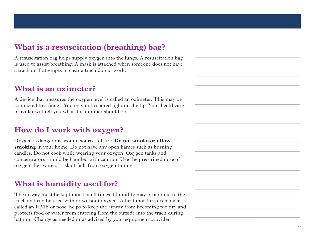#### **What is a resuscitation (breathing) bag?**

A resuscitation bag helps supply oxygen into the lungs. A resuscitation bag is used to assist breathing. A mask is attached when someone does not have a trach or if attempts to clear a trach do not work.

#### **What is an oximeter?**

A device that measures the oxygen level is called an oximeter. This may be connected to a finger. You may notice a red light on the tip. Your healthcare provider will tell you what this number should be.

## **How do I work with oxygen?**

Oxygen is dangerous around sources of fire. **Do not smoke or allow smoking** in your home. Do not have any open flames such as burning candles. Do not cook while wearing your oxygen. Oxygen tanks and concentrators should be handled with caution. Use the prescribed dose of oxygen. Be aware of risk of falls from oxygen tubing.

#### **What is humidity used for?**

The airway must be kept moist at all times. Humidity may be applied to the trach and can be used with or without oxygen. A heat moisture exchanger, called an HME or nose, helps to keep the airway from becoming too dry and protects food or water from entering from the outside into the trach during bathing. Change as needed or as advised by your equipment provider.

\_\_\_\_\_\_\_\_\_\_\_\_\_\_\_\_\_\_\_\_\_\_\_\_\_\_\_\_\_\_\_\_\_\_\_

\_\_\_\_\_\_\_\_\_\_\_\_\_\_\_\_\_\_\_\_\_\_\_\_\_\_\_\_\_\_\_\_\_\_\_

\_\_\_\_\_\_\_\_\_\_\_\_\_\_\_\_\_\_\_\_\_\_\_\_\_\_\_\_\_\_\_\_\_\_\_

\_\_\_\_\_\_\_\_\_\_\_\_\_\_\_\_\_\_\_\_\_\_\_\_\_\_\_\_\_\_\_\_\_\_\_

\_\_\_\_\_\_\_\_\_\_\_\_\_\_\_\_\_\_\_\_\_\_\_\_\_\_\_\_\_\_\_\_\_\_\_

\_\_\_\_\_\_\_\_\_\_\_\_\_\_\_\_\_\_\_\_\_\_\_\_\_\_\_\_\_\_\_\_\_\_\_

\_\_\_\_\_\_\_\_\_\_\_\_\_\_\_\_\_\_\_\_\_\_\_\_\_\_\_\_\_\_\_\_\_\_\_

\_\_\_\_\_\_\_\_\_\_\_\_\_\_\_\_\_\_\_\_\_\_\_\_\_\_\_\_\_\_\_\_\_\_\_

\_\_\_\_\_\_\_\_\_\_\_\_\_\_\_\_\_\_\_\_\_\_\_\_\_\_\_\_\_\_\_\_\_\_\_

\_\_\_\_\_\_\_\_\_\_\_\_\_\_\_\_\_\_\_\_\_\_\_\_\_\_\_\_\_\_\_\_\_\_\_

\_\_\_\_\_\_\_\_\_\_\_\_\_\_\_\_\_\_\_\_\_\_\_\_\_\_\_\_\_\_\_\_\_\_\_

\_\_\_\_\_\_\_\_\_\_\_\_\_\_\_\_\_\_\_\_\_\_\_\_\_\_\_\_\_\_\_\_\_\_\_

\_\_\_\_\_\_\_\_\_\_\_\_\_\_\_\_\_\_\_\_\_\_\_\_\_\_\_\_\_\_\_\_\_\_\_

\_\_\_\_\_\_\_\_\_\_\_\_\_\_\_\_\_\_\_\_\_\_\_\_\_\_\_\_\_\_\_\_\_\_\_

\_\_\_\_\_\_\_\_\_\_\_\_\_\_\_\_\_\_\_\_\_\_\_\_\_\_\_\_\_\_\_\_\_\_\_

\_\_\_\_\_\_\_\_\_\_\_\_\_\_\_\_\_\_\_\_\_\_\_\_\_\_\_\_\_\_\_\_\_\_\_

\_\_\_\_\_\_\_\_\_\_\_\_\_\_\_\_\_\_\_\_\_\_\_\_\_\_\_\_\_\_\_\_\_\_\_

\_\_\_\_\_\_\_\_\_\_\_\_\_\_\_\_\_\_\_\_\_\_\_\_\_\_\_\_\_\_\_\_\_\_\_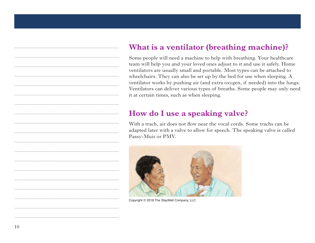# **What is a ventilator (breathing machine)? What is a ventilator (breathing machine)?**

Some people will need a machine to help with breathing. Your healthcare team will help you and your loved ones adjust to it and use it safely. Home ventilators are usually small and portable. Most types can be attached to ventilators are usually small and portable. Most types can be attached to wheelchairs. They can also be set up by the bed for use when sleeping. A ventilator works by pushing air (and extra oxygen, if needed) into the lungs. Ventilators can deliver various types of breaths. Some people may only need it at certain times, such as when sleeping. Some people will need a machine to help with breathing. Your healthcare

#### **How do I use a speaking valve? How do I use a speaking valve?**

With a trach, air does not flow near the vocal cords. Some trachs can be adapted later with a valve to allow for speech. The speaking valve is called Passy-Muir or PMV.



Copyright © 2018 The StayWell Company, LLC

\_\_\_\_\_\_\_\_\_\_\_\_\_\_\_\_\_\_\_\_\_\_\_\_\_\_\_\_\_\_\_\_\_\_\_

\_\_\_\_\_\_\_\_\_\_\_\_\_\_\_\_\_\_\_\_\_\_\_\_\_\_\_\_\_\_\_\_\_\_\_

\_\_\_\_\_\_\_\_\_\_\_\_\_\_\_\_\_\_\_\_\_\_\_\_\_\_\_\_\_\_\_\_\_\_\_

\_\_\_\_\_\_\_\_\_\_\_\_\_\_\_\_\_\_\_\_\_\_\_\_\_\_\_\_\_\_\_\_\_\_\_

\_\_\_\_\_\_\_\_\_\_\_\_\_\_\_\_\_\_\_\_\_\_\_\_\_\_\_\_\_\_\_\_\_\_\_

\_\_\_\_\_\_\_\_\_\_\_\_\_\_\_\_\_\_\_\_\_\_\_\_\_\_\_\_\_\_\_\_\_\_\_

\_\_\_\_\_\_\_\_\_\_\_\_\_\_\_\_\_\_\_\_\_\_\_\_\_\_\_\_\_\_\_\_\_\_\_

\_\_\_\_\_\_\_\_\_\_\_\_\_\_\_\_\_\_\_\_\_\_\_\_\_\_\_\_\_\_\_\_\_\_\_

\_\_\_\_\_\_\_\_\_\_\_\_\_\_\_\_\_\_\_\_\_\_\_\_\_\_\_\_\_\_\_\_\_\_\_

\_\_\_\_\_\_\_\_\_\_\_\_\_\_\_\_\_\_\_\_\_\_\_\_\_\_\_\_\_\_\_\_\_\_\_

\_\_\_\_\_\_\_\_\_\_\_\_\_\_\_\_\_\_\_\_\_\_\_\_\_\_\_\_\_\_\_\_\_\_\_

\_\_\_\_\_\_\_\_\_\_\_\_\_\_\_\_\_\_\_\_\_\_\_\_\_\_\_\_\_\_\_\_\_\_\_

\_\_\_\_\_\_\_\_\_\_\_\_\_\_\_\_\_\_\_\_\_\_\_\_\_\_\_\_\_\_\_\_\_\_\_

\_\_\_\_\_\_\_\_\_\_\_\_\_\_\_\_\_\_\_\_\_\_\_\_\_\_\_\_\_\_\_\_\_\_\_

\_\_\_\_\_\_\_\_\_\_\_\_\_\_\_\_\_\_\_\_\_\_\_\_\_\_\_\_\_\_\_\_\_\_\_

\_\_\_\_\_\_\_\_\_\_\_\_\_\_\_\_\_\_\_\_\_\_\_\_\_\_\_\_\_\_\_\_\_\_\_

\_\_\_\_\_\_\_\_\_\_\_\_\_\_\_\_\_\_\_\_\_\_\_\_\_\_\_\_\_\_\_\_\_\_\_

\_\_\_\_\_\_\_\_\_\_\_\_\_\_\_\_\_\_\_\_\_\_\_\_\_\_\_\_\_\_\_\_\_\_\_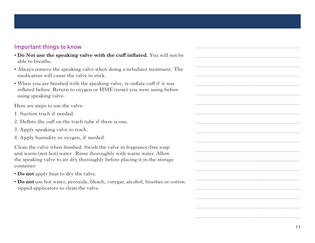#### Important things to know

- **Do Not use the speaking valve with the cuff inflated.** You will not be able to breathe.
- Always remove the speaking valve when doing a nebulizer treatment. The medication will cause the valve to stick.
- When you are finished with the speaking valve, re-inflate cuff if it was inflated before. Return to oxygen or HME (nose) you were using before using speaking valve.

Here are steps to use the valve:

- 1. Suction trach if needed.
- 2. Deflate the cuff on the trach tube if there is one.
- 3. Apply speaking valve to trach.
- 4. Apply humidity or oxygen, if needed.

Clean the valve when finished. Swish the valve in fragrance-free soap and warm (not hot) water. Rinse thoroughly with warm water. Allow the speaking valve to air dry thoroughly before placing it in the storage container.

- **Do not** apply heat to dry the valve.
- **Do not** use hot water, peroxide, bleach, vinegar, alcohol, brushes or cotton tipped applicators to clean the valve.

\_\_\_\_\_\_\_\_\_\_\_\_\_\_\_\_\_\_\_\_\_\_\_\_\_\_\_\_\_\_\_\_\_\_\_

\_\_\_\_\_\_\_\_\_\_\_\_\_\_\_\_\_\_\_\_\_\_\_\_\_\_\_\_\_\_\_\_\_\_\_

\_\_\_\_\_\_\_\_\_\_\_\_\_\_\_\_\_\_\_\_\_\_\_\_\_\_\_\_\_\_\_\_\_\_\_

\_\_\_\_\_\_\_\_\_\_\_\_\_\_\_\_\_\_\_\_\_\_\_\_\_\_\_\_\_\_\_\_\_\_\_

\_\_\_\_\_\_\_\_\_\_\_\_\_\_\_\_\_\_\_\_\_\_\_\_\_\_\_\_\_\_\_\_\_\_\_

\_\_\_\_\_\_\_\_\_\_\_\_\_\_\_\_\_\_\_\_\_\_\_\_\_\_\_\_\_\_\_\_\_\_\_

\_\_\_\_\_\_\_\_\_\_\_\_\_\_\_\_\_\_\_\_\_\_\_\_\_\_\_\_\_\_\_\_\_\_\_

\_\_\_\_\_\_\_\_\_\_\_\_\_\_\_\_\_\_\_\_\_\_\_\_\_\_\_\_\_\_\_\_\_\_\_

\_\_\_\_\_\_\_\_\_\_\_\_\_\_\_\_\_\_\_\_\_\_\_\_\_\_\_\_\_\_\_\_\_\_\_

\_\_\_\_\_\_\_\_\_\_\_\_\_\_\_\_\_\_\_\_\_\_\_\_\_\_\_\_\_\_\_\_\_\_\_

\_\_\_\_\_\_\_\_\_\_\_\_\_\_\_\_\_\_\_\_\_\_\_\_\_\_\_\_\_\_\_\_\_\_\_

\_\_\_\_\_\_\_\_\_\_\_\_\_\_\_\_\_\_\_\_\_\_\_\_\_\_\_\_\_\_\_\_\_\_\_

\_\_\_\_\_\_\_\_\_\_\_\_\_\_\_\_\_\_\_\_\_\_\_\_\_\_\_\_\_\_\_\_\_\_\_

\_\_\_\_\_\_\_\_\_\_\_\_\_\_\_\_\_\_\_\_\_\_\_\_\_\_\_\_\_\_\_\_\_\_\_

\_\_\_\_\_\_\_\_\_\_\_\_\_\_\_\_\_\_\_\_\_\_\_\_\_\_\_\_\_\_\_\_\_\_\_

\_\_\_\_\_\_\_\_\_\_\_\_\_\_\_\_\_\_\_\_\_\_\_\_\_\_\_\_\_\_\_\_\_\_\_

\_\_\_\_\_\_\_\_\_\_\_\_\_\_\_\_\_\_\_\_\_\_\_\_\_\_\_\_\_\_\_\_\_\_\_

\_\_\_\_\_\_\_\_\_\_\_\_\_\_\_\_\_\_\_\_\_\_\_\_\_\_\_\_\_\_\_\_\_\_\_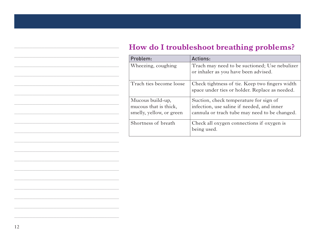## **How do I troubleshoot breathing problems?**

| Problem:                                                              | <b>Actions:</b>                                                                                                                       |
|-----------------------------------------------------------------------|---------------------------------------------------------------------------------------------------------------------------------------|
| Wheezing, coughing                                                    | Trach may need to be suctioned; Use nebulizer<br>or inhaler as you have been advised.                                                 |
| Trach ties become loose                                               | Check tightness of tie. Keep two fingers width<br>space under ties or holder. Replace as needed.                                      |
| Mucous build-up,<br>mucous that is thick,<br>smelly, yellow, or green | Suction, check temperature for sign of<br>infection, use saline if needed, and inner<br>cannula or trach tube may need to be changed. |
| Shortness of breath                                                   | Check all oxygen connections if oxygen is<br>being used.                                                                              |

\_\_\_\_\_\_\_\_\_\_\_\_\_\_\_\_\_\_\_\_\_\_\_\_\_\_\_\_\_\_\_\_\_\_\_

\_\_\_\_\_\_\_\_\_\_\_\_\_\_\_\_\_\_\_\_\_\_\_\_\_\_\_\_\_\_\_\_\_\_\_

\_\_\_\_\_\_\_\_\_\_\_\_\_\_\_\_\_\_\_\_\_\_\_\_\_\_\_\_\_\_\_\_\_\_\_

\_\_\_\_\_\_\_\_\_\_\_\_\_\_\_\_\_\_\_\_\_\_\_\_\_\_\_\_\_\_\_\_\_\_\_

\_\_\_\_\_\_\_\_\_\_\_\_\_\_\_\_\_\_\_\_\_\_\_\_\_\_\_\_\_\_\_\_\_\_\_

\_\_\_\_\_\_\_\_\_\_\_\_\_\_\_\_\_\_\_\_\_\_\_\_\_\_\_\_\_\_\_\_\_\_\_

\_\_\_\_\_\_\_\_\_\_\_\_\_\_\_\_\_\_\_\_\_\_\_\_\_\_\_\_\_\_\_\_\_\_\_

\_\_\_\_\_\_\_\_\_\_\_\_\_\_\_\_\_\_\_\_\_\_\_\_\_\_\_\_\_\_\_\_\_\_\_

\_\_\_\_\_\_\_\_\_\_\_\_\_\_\_\_\_\_\_\_\_\_\_\_\_\_\_\_\_\_\_\_\_\_\_

\_\_\_\_\_\_\_\_\_\_\_\_\_\_\_\_\_\_\_\_\_\_\_\_\_\_\_\_\_\_\_\_\_\_\_

\_\_\_\_\_\_\_\_\_\_\_\_\_\_\_\_\_\_\_\_\_\_\_\_\_\_\_\_\_\_\_\_\_\_\_

\_\_\_\_\_\_\_\_\_\_\_\_\_\_\_\_\_\_\_\_\_\_\_\_\_\_\_\_\_\_\_\_\_\_\_

\_\_\_\_\_\_\_\_\_\_\_\_\_\_\_\_\_\_\_\_\_\_\_\_\_\_\_\_\_\_\_\_\_\_\_

\_\_\_\_\_\_\_\_\_\_\_\_\_\_\_\_\_\_\_\_\_\_\_\_\_\_\_\_\_\_\_\_\_\_\_

\_\_\_\_\_\_\_\_\_\_\_\_\_\_\_\_\_\_\_\_\_\_\_\_\_\_\_\_\_\_\_\_\_\_\_

\_\_\_\_\_\_\_\_\_\_\_\_\_\_\_\_\_\_\_\_\_\_\_\_\_\_\_\_\_\_\_\_\_\_\_

\_\_\_\_\_\_\_\_\_\_\_\_\_\_\_\_\_\_\_\_\_\_\_\_\_\_\_\_\_\_\_\_\_\_\_

\_\_\_\_\_\_\_\_\_\_\_\_\_\_\_\_\_\_\_\_\_\_\_\_\_\_\_\_\_\_\_\_\_\_\_

 $\overline{\phantom{a}}$  , and the contribution of the contribution of the contribution of the contribution of the contribution of the contribution of the contribution of the contribution of the contribution of the contribution of the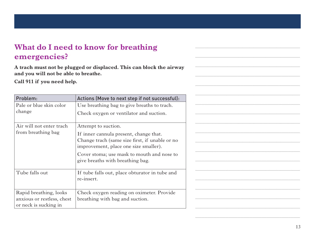# **What do I need to know for breathing emergencies?**

**A trach must not be plugged or displaced. This can block the airway and you will not be able to breathe.** 

**Call 911 if you need help.**

| Problem:                   | Actions (Move to next step if not successful):                                                                                    |
|----------------------------|-----------------------------------------------------------------------------------------------------------------------------------|
| Pale or blue skin color    | Use breathing bag to give breaths to trach.                                                                                       |
| change                     | Check oxygen or ventilator and suction.                                                                                           |
| Air will not enter trach   | Attempt to suction.                                                                                                               |
| from breathing bag         | If inner cannula present, change that.<br>Change trach (same size first, if unable or no<br>improvement, place one size smaller). |
|                            | Cover stoma; use mask to mouth and nose to<br>give breaths with breathing bag.                                                    |
| Tube falls out             | If tube falls out, place obturator in tube and<br>re-insert.                                                                      |
| Rapid breathing, looks     | Check oxygen reading on oximeter. Provide                                                                                         |
| anxious or restless, chest | breathing with bag and suction.                                                                                                   |
| or neck is sucking in      |                                                                                                                                   |



\_\_\_\_\_\_\_\_\_\_\_\_\_\_\_\_\_\_\_\_\_\_\_\_\_\_\_\_\_\_\_\_\_\_\_

\_\_\_\_\_\_\_\_\_\_\_\_\_\_\_\_\_\_\_\_\_\_\_\_\_\_\_\_\_\_\_\_\_\_\_

\_\_\_\_\_\_\_\_\_\_\_\_\_\_\_\_\_\_\_\_\_\_\_\_\_\_\_\_\_\_\_\_\_\_\_

\_\_\_\_\_\_\_\_\_\_\_\_\_\_\_\_\_\_\_\_\_\_\_\_\_\_\_\_\_\_\_\_\_\_\_

\_\_\_\_\_\_\_\_\_\_\_\_\_\_\_\_\_\_\_\_\_\_\_\_\_\_\_\_\_\_\_\_\_\_\_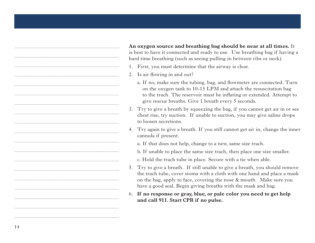**An oxygen source and breathing bag should be near at all times.** It is best to have it connected and ready to use. Use breathing bag if having a hard time breathing (such as seeing pulling in between ribs or neck).

- 1. First, you must determine that the airway is clear.
- 2. Is air flowing in and out?
	- a. If no, make sure the tubing, bag, and flowmeter are connected. Turn on the oxygen tank to 10-15 LPM and attach the resuscitation bag to the trach. The reservoir must be inflating or extended. Attempt to give rescue breaths. Give 1 breath every 5 seconds.
- 3. Try to give a breath by squeezing the bag, if you cannot get air in or see chest rise, try suction. If unable to suction, you may give saline drops to loosen secretions.
- 4. Try again to give a breath. If you still cannot get air in, change the inner cannula if present.
	- a. If that does not help, change to a new, same size trach.
	- b. If unable to place the same size trach, then place one size smaller.
	- c. Hold the trach tube in place. Secure with a tie when able.
- 5. Try to give a breath. If still unable to give a breath, you should remove the trach tube, cover stoma with a cloth with one hand and place a mask on the bag, apply to face, covering the nose & mouth. Make sure you have a good seal. Begin giving breaths with the mask and bag.

#### 6. **If no response or gray, blue, or pale color you need to get help and call 911. Start CPR if no pulse.**

\_\_\_\_\_\_\_\_\_\_\_\_\_\_\_\_\_\_\_\_\_\_\_\_\_\_\_\_\_\_\_\_\_\_\_

\_\_\_\_\_\_\_\_\_\_\_\_\_\_\_\_\_\_\_\_\_\_\_\_\_\_\_\_\_\_\_\_\_\_\_

\_\_\_\_\_\_\_\_\_\_\_\_\_\_\_\_\_\_\_\_\_\_\_\_\_\_\_\_\_\_\_\_\_\_\_

\_\_\_\_\_\_\_\_\_\_\_\_\_\_\_\_\_\_\_\_\_\_\_\_\_\_\_\_\_\_\_\_\_\_\_

\_\_\_\_\_\_\_\_\_\_\_\_\_\_\_\_\_\_\_\_\_\_\_\_\_\_\_\_\_\_\_\_\_\_\_

\_\_\_\_\_\_\_\_\_\_\_\_\_\_\_\_\_\_\_\_\_\_\_\_\_\_\_\_\_\_\_\_\_\_\_

\_\_\_\_\_\_\_\_\_\_\_\_\_\_\_\_\_\_\_\_\_\_\_\_\_\_\_\_\_\_\_\_\_\_\_

\_\_\_\_\_\_\_\_\_\_\_\_\_\_\_\_\_\_\_\_\_\_\_\_\_\_\_\_\_\_\_\_\_\_\_

\_\_\_\_\_\_\_\_\_\_\_\_\_\_\_\_\_\_\_\_\_\_\_\_\_\_\_\_\_\_\_\_\_\_\_

\_\_\_\_\_\_\_\_\_\_\_\_\_\_\_\_\_\_\_\_\_\_\_\_\_\_\_\_\_\_\_\_\_\_\_

\_\_\_\_\_\_\_\_\_\_\_\_\_\_\_\_\_\_\_\_\_\_\_\_\_\_\_\_\_\_\_\_\_\_\_

\_\_\_\_\_\_\_\_\_\_\_\_\_\_\_\_\_\_\_\_\_\_\_\_\_\_\_\_\_\_\_\_\_\_\_

\_\_\_\_\_\_\_\_\_\_\_\_\_\_\_\_\_\_\_\_\_\_\_\_\_\_\_\_\_\_\_\_\_\_\_

\_\_\_\_\_\_\_\_\_\_\_\_\_\_\_\_\_\_\_\_\_\_\_\_\_\_\_\_\_\_\_\_\_\_\_

\_\_\_\_\_\_\_\_\_\_\_\_\_\_\_\_\_\_\_\_\_\_\_\_\_\_\_\_\_\_\_\_\_\_\_

\_\_\_\_\_\_\_\_\_\_\_\_\_\_\_\_\_\_\_\_\_\_\_\_\_\_\_\_\_\_\_\_\_\_\_

\_\_\_\_\_\_\_\_\_\_\_\_\_\_\_\_\_\_\_\_\_\_\_\_\_\_\_\_\_\_\_\_\_\_\_

\_\_\_\_\_\_\_\_\_\_\_\_\_\_\_\_\_\_\_\_\_\_\_\_\_\_\_\_\_\_\_\_\_\_\_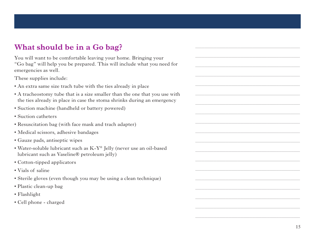# **What should be in a Go bag?**

You will want to be comfortable leaving your home. Bringing your "Go bag" will help you be prepared. This will include what you need for emergencies as well.

These supplies include:

- An extra same size trach tube with the ties already in place
- A tracheostomy tube that is a size smaller than the one that you use with the ties already in place in case the stoma shrinks during an emergency
- Suction machine (handheld or battery powered)
- Suction catheters
- Resuscitation bag (with face mask and trach adapter)
- Medical scissors, adhesive bandages
- Gauze pads, antiseptic wipes
- Water-soluble lubricant such as K-Y® Jelly (never use an oil-based lubricant such as Vaseline® petroleum jelly)
- Cotton-tipped applicators
- Vials of saline
- Sterile gloves (even though you may be using a clean technique)
- Plastic clean-up bag
- Flashlight
- Cell phone charged

\_\_\_\_\_\_\_\_\_\_\_\_\_\_\_\_\_\_\_\_\_\_\_\_\_\_\_\_\_\_\_\_\_\_\_

\_\_\_\_\_\_\_\_\_\_\_\_\_\_\_\_\_\_\_\_\_\_\_\_\_\_\_\_\_\_\_\_\_\_\_

\_\_\_\_\_\_\_\_\_\_\_\_\_\_\_\_\_\_\_\_\_\_\_\_\_\_\_\_\_\_\_\_\_\_\_

\_\_\_\_\_\_\_\_\_\_\_\_\_\_\_\_\_\_\_\_\_\_\_\_\_\_\_\_\_\_\_\_\_\_\_

\_\_\_\_\_\_\_\_\_\_\_\_\_\_\_\_\_\_\_\_\_\_\_\_\_\_\_\_\_\_\_\_\_\_\_

\_\_\_\_\_\_\_\_\_\_\_\_\_\_\_\_\_\_\_\_\_\_\_\_\_\_\_\_\_\_\_\_\_\_\_

\_\_\_\_\_\_\_\_\_\_\_\_\_\_\_\_\_\_\_\_\_\_\_\_\_\_\_\_\_\_\_\_\_\_\_

\_\_\_\_\_\_\_\_\_\_\_\_\_\_\_\_\_\_\_\_\_\_\_\_\_\_\_\_\_\_\_\_\_\_\_

\_\_\_\_\_\_\_\_\_\_\_\_\_\_\_\_\_\_\_\_\_\_\_\_\_\_\_\_\_\_\_\_\_\_\_

\_\_\_\_\_\_\_\_\_\_\_\_\_\_\_\_\_\_\_\_\_\_\_\_\_\_\_\_\_\_\_\_\_\_\_

\_\_\_\_\_\_\_\_\_\_\_\_\_\_\_\_\_\_\_\_\_\_\_\_\_\_\_\_\_\_\_\_\_\_\_

\_\_\_\_\_\_\_\_\_\_\_\_\_\_\_\_\_\_\_\_\_\_\_\_\_\_\_\_\_\_\_\_\_\_\_

\_\_\_\_\_\_\_\_\_\_\_\_\_\_\_\_\_\_\_\_\_\_\_\_\_\_\_\_\_\_\_\_\_\_\_

\_\_\_\_\_\_\_\_\_\_\_\_\_\_\_\_\_\_\_\_\_\_\_\_\_\_\_\_\_\_\_\_\_\_\_

\_\_\_\_\_\_\_\_\_\_\_\_\_\_\_\_\_\_\_\_\_\_\_\_\_\_\_\_\_\_\_\_\_\_\_

\_\_\_\_\_\_\_\_\_\_\_\_\_\_\_\_\_\_\_\_\_\_\_\_\_\_\_\_\_\_\_\_\_\_\_

\_\_\_\_\_\_\_\_\_\_\_\_\_\_\_\_\_\_\_\_\_\_\_\_\_\_\_\_\_\_\_\_\_\_\_

\_\_\_\_\_\_\_\_\_\_\_\_\_\_\_\_\_\_\_\_\_\_\_\_\_\_\_\_\_\_\_\_\_\_\_